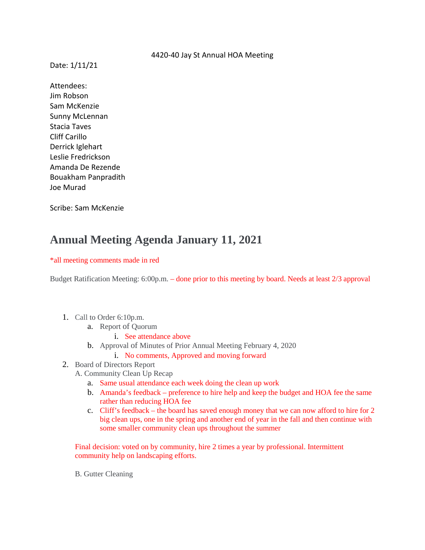## 4420-40 Jay St Annual HOA Meeting

Date: 1/11/21

Attendees: Jim Robson Sam McKenzie Sunny McLennan Stacia Taves Cliff Carillo Derrick Iglehart Leslie Fredrickson Amanda De Rezende Bouakham Panpradith Joe Murad

Scribe: Sam McKenzie

## **Annual Meeting Agenda January 11, 2021**

## \*all meeting comments made in red

Budget Ratification Meeting: 6:00p.m. – done prior to this meeting by board. Needs at least 2/3 approval

- 1. Call to Order 6:10p.m.
	- a. Report of Quorum
		- i. See attendance above
	- b. Approval of Minutes of Prior Annual Meeting February 4, 2020
		- i. No comments, Approved and moving forward
- 2. Board of Directors Report
	- A. Community Clean Up Recap
		- a. Same usual attendance each week doing the clean up work
		- b. Amanda's feedback preference to hire help and keep the budget and HOA fee the same rather than reducing HOA fee
		- c. Cliff's feedback the board has saved enough money that we can now afford to hire for 2 big clean ups, one in the spring and another end of year in the fall and then continue with some smaller community clean ups throughout the summer

Final decision: voted on by community, hire 2 times a year by professional. Intermittent community help on landscaping efforts.

B. Gutter Cleaning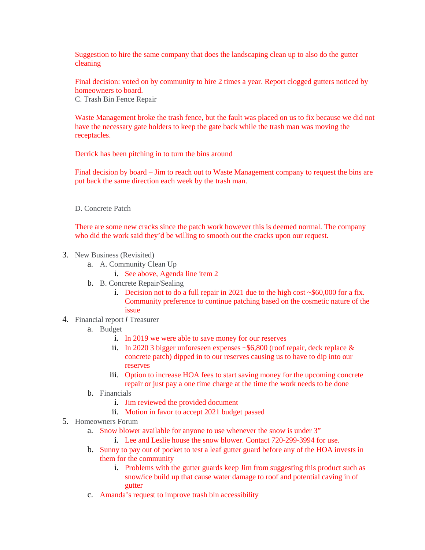Suggestion to hire the same company that does the landscaping clean up to also do the gutter cleaning

Final decision: voted on by community to hire 2 times a year. Report clogged gutters noticed by homeowners to board. C. Trash Bin Fence Repair

Waste Management broke the trash fence, but the fault was placed on us to fix because we did not have the necessary gate holders to keep the gate back while the trash man was moving the receptacles.

Derrick has been pitching in to turn the bins around

Final decision by board – Jim to reach out to Waste Management company to request the bins are put back the same direction each week by the trash man.

D. Concrete Patch

There are some new cracks since the patch work however this is deemed normal. The company who did the work said they'd be willing to smooth out the cracks upon our request.

- 3. New Business (Revisited)
	- a. A. Community Clean Up
		- i. See above, Agenda line item 2
	- b. B. Concrete Repair/Sealing
		- i. Decision not to do a full repair in 2021 due to the high cost  $\sim$  \$60,000 for a fix. Community preference to continue patching based on the cosmetic nature of the issue
- 4. Financial report *I* Treasurer
	- a. Budget
		- i. In 2019 we were able to save money for our reserves
		- ii. In 2020 3 bigger unforeseen expenses ~\$6,800 (roof repair, deck replace & concrete patch) dipped in to our reserves causing us to have to dip into our reserves
		- iii. Option to increase HOA fees to start saving money for the upcoming concrete repair or just pay a one time charge at the time the work needs to be done
	- b. Financials
		- i. Jim reviewed the provided document
		- ii. Motion in favor to accept 2021 budget passed
- 5. Homeowners Forum
	- a. Snow blower available for anyone to use whenever the snow is under 3"
		- i. Lee and Leslie house the snow blower. Contact 720-299-3994 for use.
	- b. Sunny to pay out of pocket to test a leaf gutter guard before any of the HOA invests in them for the community
		- i. Problems with the gutter guards keep Jim from suggesting this product such as snow/ice build up that cause water damage to roof and potential caving in of gutter
	- c. Amanda's request to improve trash bin accessibility